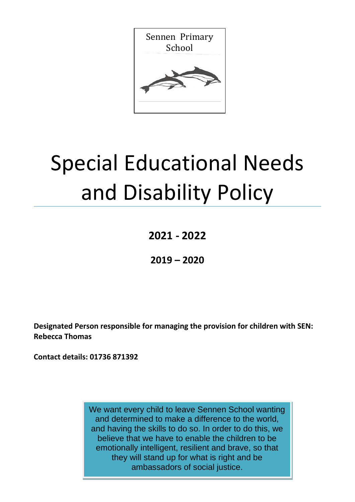

# Special Educational Needs and Disability Policy

**2021 - 2022**

**2019 – 2020**

**Designated Person responsible for managing the provision for children with SEN: Rebecca Thomas**

**Contact details: 01736 871392** 

We want every child to leave Sennen School wanting and determined to make a difference to the world, and having the skills to do so. In order to do this, we believe that we have to enable the children to be emotionally intelligent, resilient and brave, so that they will stand up for what is right and be ambassadors of social justice.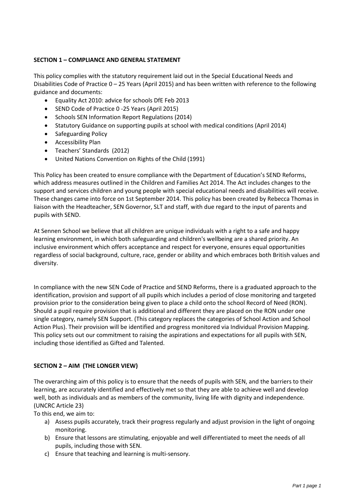# **SECTION 1 – COMPLIANCE AND GENERAL STATEMENT**

This policy complies with the statutory requirement laid out in the Special Educational Needs and Disabilities Code of Practice 0 – 25 Years (April 2015) and has been written with reference to the following guidance and documents:

- Equality Act 2010: advice for schools DfE Feb 2013
- SEND Code of Practice 0 -25 Years (April 2015)
- Schools SEN Information Report Regulations (2014)
- Statutory Guidance on supporting pupils at school with medical conditions (April 2014)
- Safeguarding Policy
- Accessibility Plan
- Teachers' Standards (2012)
- United Nations Convention on Rights of the Child (1991)

This Policy has been created to ensure compliance with the Department of Education's SEND Reforms, which address measures outlined in the Children and Families Act 2014. The Act includes changes to the support and services children and young people with special educational needs and disabilities will receive. These changes came into force on 1st September 2014. This policy has been created by Rebecca Thomas in liaison with the Headteacher, SEN Governor, SLT and staff, with due regard to the input of parents and pupils with SEND.

At Sennen School we believe that all children are unique individuals with a right to a safe and happy learning environment, in which both safeguarding and children's wellbeing are a shared priority. An inclusive environment which offers acceptance and respect for everyone, ensures equal opportunities regardless of social background, culture, race, gender or ability and which embraces both British values and diversity.

In compliance with the new SEN Code of Practice and SEND Reforms, there is a graduated approach to the identification, provision and support of all pupils which includes a period of close monitoring and targeted provision prior to the consideration being given to place a child onto the school Record of Need (RON). Should a pupil require provision that is additional and different they are placed on the RON under one single category, namely SEN Support. (This category replaces the categories of School Action and School Action Plus). Their provision will be identified and progress monitored via Individual Provision Mapping. This policy sets out our commitment to raising the aspirations and expectations for all pupils with SEN, including those identified as Gifted and Talented.

## **SECTION 2 – AIM (THE LONGER VIEW)**

The overarching aim of this policy is to ensure that the needs of pupils with SEN, and the barriers to their learning, are accurately identified and effectively met so that they are able to achieve well and develop well, both as individuals and as members of the community, living life with dignity and independence. (UNCRC Article 23)

To this end, we aim to:

- a) Assess pupils accurately, track their progress regularly and adjust provision in the light of ongoing monitoring.
- b) Ensure that lessons are stimulating, enjoyable and well differentiated to meet the needs of all pupils, including those with SEN.
- c) Ensure that teaching and learning is multi-sensory.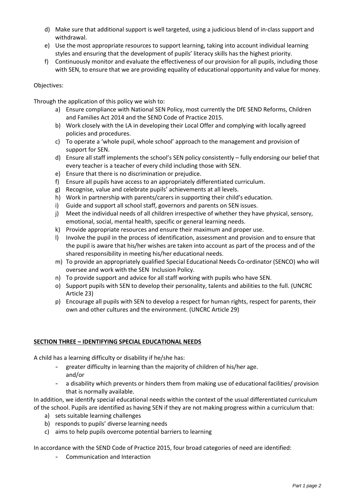- d) Make sure that additional support is well targeted, using a judicious blend of in-class support and withdrawal.
- e) Use the most appropriate resources to support learning, taking into account individual learning styles and ensuring that the development of pupils' literacy skills has the highest priority.
- f) Continuously monitor and evaluate the effectiveness of our provision for all pupils, including those with SEN, to ensure that we are providing equality of educational opportunity and value for money.

## Objectives:

Through the application of this policy we wish to:

- a) Ensure compliance with National SEN Policy, most currently the DfE SEND Reforms, Children and Families Act 2014 and the SEND Code of Practice 2015.
- b) Work closely with the LA in developing their Local Offer and complying with locally agreed policies and procedures.
- c) To operate a 'whole pupil, whole school' approach to the management and provision of support for SEN.
- d) Ensure all staff implements the school's SEN policy consistently fully endorsing our belief that every teacher is a teacher of every child including those with SEN.
- e) Ensure that there is no discrimination or prejudice.
- f) Ensure all pupils have access to an appropriately differentiated curriculum.
- g) Recognise, value and celebrate pupils' achievements at all levels.
- h) Work in partnership with parents/carers in supporting their child's education.
- i) Guide and support all school staff, governors and parents on SEN issues.
- j) Meet the individual needs of all children irrespective of whether they have physical, sensory, emotional, social, mental health, specific or general learning needs.
- k) Provide appropriate resources and ensure their maximum and proper use.
- l) Involve the pupil in the process of identification, assessment and provision and to ensure that the pupil is aware that his/her wishes are taken into account as part of the process and of the shared responsibility in meeting his/her educational needs.
- m) To provide an appropriately qualified Special Educational Needs Co-ordinator (SENCO) who will oversee and work with the SEN Inclusion Policy.
- n) To provide support and advice for all staff working with pupils who have SEN.
- o) Support pupils with SEN to develop their personality, talents and abilities to the full. (UNCRC Article 23)
- p) Encourage all pupils with SEN to develop a respect for human rights, respect for parents, their own and other cultures and the environment. (UNCRC Article 29)

## **SECTION THREE – IDENTIFYING SPECIAL EDUCATIONAL NEEDS**

A child has a learning difficulty or disability if he/she has:

- greater difficulty in learning than the majority of children of his/her age. and/or
- a disability which prevents or hinders them from making use of educational facilities/ provision that is normally available.

In addition, we identify special educational needs within the context of the usual differentiated curriculum of the school. Pupils are identified as having SEN if they are not making progress within a curriculum that:

- a) sets suitable learning challenges
- b) responds to pupils' diverse learning needs
- c) aims to help pupils overcome potential barriers to learning

In accordance with the SEND Code of Practice 2015, four broad categories of need are identified:

- Communication and Interaction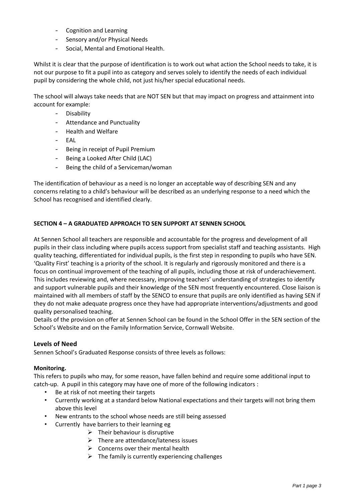- Cognition and Learning
- Sensory and/or Physical Needs
- Social, Mental and Emotional Health.

Whilst it is clear that the purpose of identification is to work out what action the School needs to take, it is not our purpose to fit a pupil into as category and serves solely to identify the needs of each individual pupil by considering the whole child, not just his/her special educational needs.

The school will always take needs that are NOT SEN but that may impact on progress and attainment into account for example:

- **Disability**
- Attendance and Punctuality
- Health and Welfare
- EAL
- Being in receipt of Pupil Premium
- Being a Looked After Child (LAC)
- Being the child of a Serviceman/woman

The identification of behaviour as a need is no longer an acceptable way of describing SEN and any concerns relating to a child's behaviour will be described as an underlying response to a need which the School has recognised and identified clearly.

# **SECTION 4 – A GRADUATED APPROACH TO SEN SUPPORT AT SENNEN SCHOOL**

At Sennen School all teachers are responsible and accountable for the progress and development of all pupils in their class including where pupils access support from specialist staff and teaching assistants. High quality teaching, differentiated for individual pupils, is the first step in responding to pupils who have SEN. 'Quality First' teaching is a priority of the school. It is regularly and rigorously monitored and there is a focus on continual improvement of the teaching of all pupils, including those at risk of underachievement. This includes reviewing and, where necessary, improving teachers' understanding of strategies to identify and support vulnerable pupils and their knowledge of the SEN most frequently encountered. Close liaison is maintained with all members of staff by the SENCO to ensure that pupils are only identified as having SEN if they do not make adequate progress once they have had appropriate interventions/adjustments and good quality personalised teaching.

Details of the provision on offer at Sennen School can be found in the School Offer in the SEN section of the School's Website and on the Family Information Service, Cornwall Website.

## **Levels of Need**

Sennen School's Graduated Response consists of three levels as follows:

## **Monitoring.**

This refers to pupils who may, for some reason, have fallen behind and require some additional input to catch-up. A pupil in this category may have one of more of the following indicators :

- Be at risk of not meeting their targets
- Currently working at a standard below National expectations and their targets will not bring them above this level
- New entrants to the school whose needs are still being assessed
- Currently have barriers to their learning eg
	- $\triangleright$  Their behaviour is disruptive
	- $\triangleright$  There are attendance/lateness issues
	- $\triangleright$  Concerns over their mental health
	- $\triangleright$  The family is currently experiencing challenges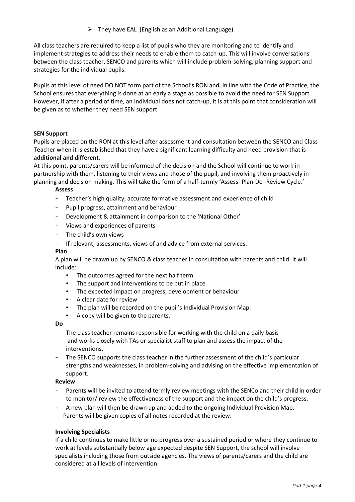$\triangleright$  They have EAL (English as an Additional Language)

All class teachers are required to keep a list of pupils who they are monitoring and to identify and implement strategies to address their needs to enable them to catch-up. This will involve conversations between the class teacher, SENCO and parents which will include problem-solving, planning support and strategies for the individual pupils.

Pupils at this level of need DO NOT form part of the School's RON and, in line with the Code of Practice, the School ensures that everything is done at an early a stage as possible to avoid the need for SEN Support. However, if after a period of time, an individual does not catch-up, it is at this point that consideration will be given as to whether they need SEN support.

## **SEN Support**

Pupils are placed on the RON at this level after assessment and consultation between the SENCO and Class Teacher when it is established that they have a significant learning difficulty and need provision that is **additional and different**.

At this point, parents/carers will be informed of the decision and the School will continue to work in partnership with them, listening to their views and those of the pupil, and involving them proactively in planning and decision making. This will take the form of a half-termly 'Assess- Plan-Do -Review Cycle.'

#### **Assess**

- Teacher's high quality, accurate formative assessment and experience of child
- Pupil progress, attainment and behaviour
- Development & attainment in comparison to the 'National Other'
- Views and experiences of parents
- The child's own views
- If relevant, assessments, views of and advice from external services.

## **Plan**

A plan will be drawn up by SENCO & class teacher in consultation with parents and child. It will include:

- The outcomes agreed for the next half term
- The support and interventions to be put in place
- The expected impact on progress, development or behaviour
- A clear date for review
- The plan will be recorded on the pupil's Individual Provision Map.
- A copy will be given to the parents.

#### **Do**

- The class teacher remains responsible for working with the child on a daily basis and works closely with TAs or specialist staff to plan and assess the impact of the interventions.
- The SENCO supports the class teacher in the further assessment of the child's particular strengths and weaknesses, in problem-solving and advising on the effective implementation of support.

#### **Review**

- Parents will be invited to attend termly review meetings with the SENCo and their child in order to monitor/ review the effectiveness of the support and the impact on the child's progress.
- A new plan will then be drawn up and added to the ongoing Individual Provision Map.
- Parents will be given copies of all notes recorded at the review.

## **Involving Specialists**

If a child continues to make little or no progress over a sustained period or where they continue to work at levels substantially below age expected despite SEN Support, the school will involve specialists including those from outside agencies. The views of parents/carers and the child are considered at all levels of intervention.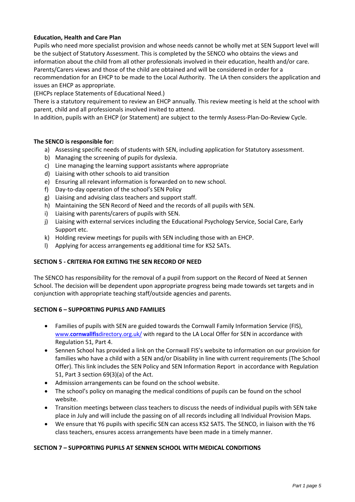## **Education, Health and Care Plan**

Pupils who need more specialist provision and whose needs cannot be wholly met at SEN Support level will be the subject of Statutory Assessment. This is completed by the SENCO who obtains the views and information about the child from all other professionals involved in their education, health and/or care. Parents/Carers views and those of the child are obtained and will be considered in order for a recommendation for an EHCP to be made to the Local Authority. The LA then considers the application and issues an EHCP as appropriate.

(EHCPs replace Statements of Educational Need.)

There is a statutory requirement to review an EHCP annually. This review meeting is held at the school with parent, child and all professionals involved invited to attend.

In addition, pupils with an EHCP (or Statement) are subject to the termly Assess-Plan-Do-Review Cycle.

## **The SENCO is responsible for:**

- a) Assessing specific needs of students with SEN, including application for Statutory assessment.
- b) Managing the screening of pupils for dyslexia.
- c) Line managing the learning support assistants where appropriate
- d) Liaising with other schools to aid transition
- e) Ensuring all relevant information is forwarded on to new school.
- f) Day-to-day operation of the school's SEN Policy
- g) Liaising and advising class teachers and support staff.
- h) Maintaining the SEN Record of Need and the records of all pupils with SEN.
- i) Liaising with parents/carers of pupils with SEN.
- j) Liaising with external services including the Educational Psychology Service, Social Care, Early Support etc.
- k) Holding review meetings for pupils with SEN including those with an EHCP.
- l) Applying for access arrangements eg additional time for KS2 SATs.

## **SECTION 5 - CRITERIA FOR EXITING THE SEN RECORD OF NEED**

The SENCO has responsibility for the removal of a pupil from support on the Record of Need at Sennen School. The decision will be dependent upon appropriate progress being made towards set targets and in conjunction with appropriate teaching staff/outside agencies and parents.

## **SECTION 6 – SUPPORTING PUPILS AND FAMILIES**

- Families of pupils with SEN are guided towards the Cornwall Family Information Service (FIS), www.**cornwallfis**[directory.org.uk/](http://www.cornwallfisdirectory.org.uk/) with regard to the LA Local Offer for SEN in accordance with Regulation 51, Part 4.
- Sennen School has provided a link on the Cornwall FIS's website to information on our provision for families who have a child with a SEN and/or Disability in line with current requirements (The School Offer). This link includes the SEN Policy and SEN Information Report in accordance with Regulation 51, Part 3 section 69(3)(a) of the Act.
- Admission arrangements can be found on the school website.
- The school's policy on managing the medical conditions of pupils can be found on the school website.
- Transition meetings between class teachers to discuss the needs of individual pupils with SEN take place in July and will include the passing on of all records including all Individual Provision Maps.
- We ensure that Y6 pupils with specific SEN can access KS2 SATS. The SENCO, in liaison with the Y6 class teachers, ensures access arrangements have been made in a timely manner.

## **SECTION 7 – SUPPORTING PUPILS AT SENNEN SCHOOL WITH MEDICAL CONDITIONS**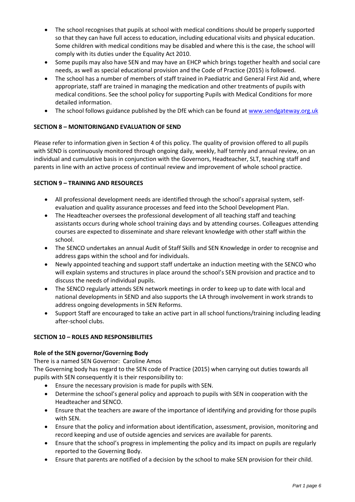- The school recognises that pupils at school with medical conditions should be properly supported so that they can have full access to education, including educational visits and physical education. Some children with medical conditions may be disabled and where this is the case, the school will comply with its duties under the Equality Act 2010.
- Some pupils may also have SEN and may have an EHCP which brings together health and social care needs, as well as special educational provision and the Code of Practice (2015) is followed.
- The school has a number of members of staff trained in Paediatric and General First Aid and, where appropriate, staff are trained in managing the medication and other treatments of pupils with medical conditions. See the school policy for supporting Pupils with Medical Conditions for more detailed information.
- The school follows guidance published by the DfE which can be found at [www.sendgateway.org.uk](http://www.sendgateway.org.uk/)

# **SECTION 8 – MONITORINGAND EVALUATION OF SEND**

Please refer to information given in Section 4 of this policy. The quality of provision offered to all pupils with SEND is continuously monitored through ongoing daily, weekly, half termly and annual review, on an individual and cumulative basis in conjunction with the Governors, Headteacher, SLT, teaching staff and parents in line with an active process of continual review and improvement of whole school practice.

## **SECTION 9 – TRAINING AND RESOURCES**

- All professional development needs are identified through the school's appraisal system, selfevaluation and quality assurance processes and feed into the School Development Plan.
- The Headteacher oversees the professional development of all teaching staff and teaching assistants occurs during whole school training days and by attending courses. Colleagues attending courses are expected to disseminate and share relevant knowledge with other staff within the school.
- The SENCO undertakes an annual Audit of Staff Skills and SEN Knowledge in order to recognise and address gaps within the school and for individuals.
- Newly appointed teaching and support staff undertake an induction meeting with the SENCO who will explain systems and structures in place around the school's SEN provision and practice and to discuss the needs of individual pupils.
- The SENCO regularly attends SEN network meetings in order to keep up to date with local and national developments in SEND and also supports the LA through involvement in work strands to address ongoing developments in SEN Reforms.
- Support Staff are encouraged to take an active part in all school functions/training including leading after-school clubs.

# **SECTION 10 – ROLES AND RESPONSIBILITIES**

# **Role of the SEN governor/Governing Body**

There is a named SEN Governor: Caroline Amos

The Governing body has regard to the SEN code of Practice (2015) when carrying out duties towards all pupils with SEN consequently it is their responsibility to:

- Ensure the necessary provision is made for pupils with SEN.
- Determine the school's general policy and approach to pupils with SEN in cooperation with the Headteacher and SENCO.
- Ensure that the teachers are aware of the importance of identifying and providing for those pupils with SEN.
- Ensure that the policy and information about identification, assessment, provision, monitoring and record keeping and use of outside agencies and services are available for parents.
- Ensure that the school's progress in implementing the policy and its impact on pupils are regularly reported to the Governing Body.
- Ensure that parents are notified of a decision by the school to make SEN provision for their child.